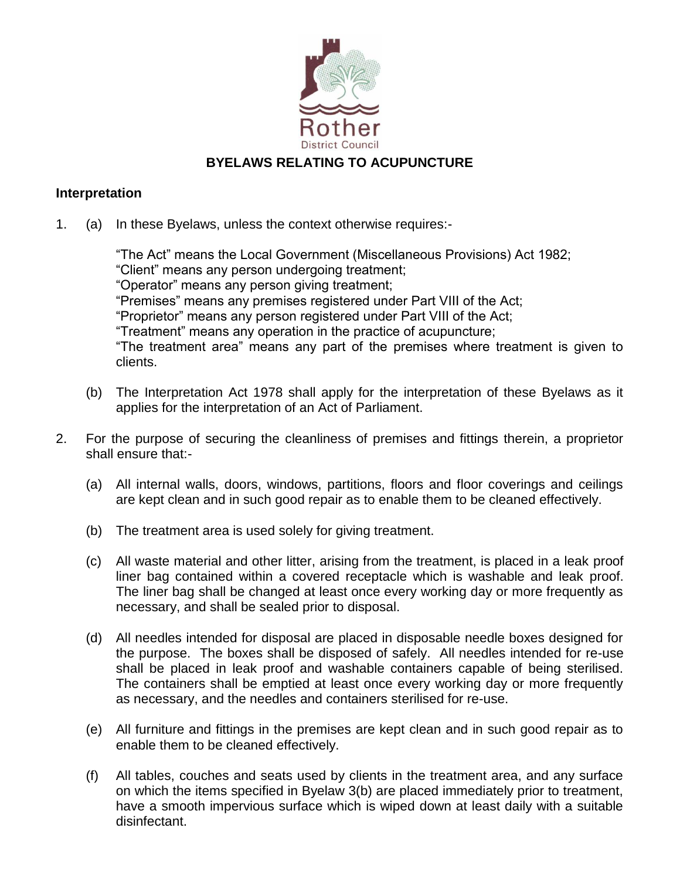

## **BYELAWS RELATING TO ACUPUNCTURE**

## **Interpretation**

1. (a) In these Byelaws, unless the context otherwise requires:-

"The Act" means the Local Government (Miscellaneous Provisions) Act 1982; "Client" means any person undergoing treatment; "Operator" means any person giving treatment; "Premises" means any premises registered under Part VIII of the Act; "Proprietor" means any person registered under Part VIII of the Act; "Treatment" means any operation in the practice of acupuncture; "The treatment area" means any part of the premises where treatment is given to clients.

- (b) The Interpretation Act 1978 shall apply for the interpretation of these Byelaws as it applies for the interpretation of an Act of Parliament.
- 2. For the purpose of securing the cleanliness of premises and fittings therein, a proprietor shall ensure that:-
	- (a) All internal walls, doors, windows, partitions, floors and floor coverings and ceilings are kept clean and in such good repair as to enable them to be cleaned effectively.
	- (b) The treatment area is used solely for giving treatment.
	- (c) All waste material and other litter, arising from the treatment, is placed in a leak proof liner bag contained within a covered receptacle which is washable and leak proof. The liner bag shall be changed at least once every working day or more frequently as necessary, and shall be sealed prior to disposal.
	- (d) All needles intended for disposal are placed in disposable needle boxes designed for the purpose. The boxes shall be disposed of safely. All needles intended for re-use shall be placed in leak proof and washable containers capable of being sterilised. The containers shall be emptied at least once every working day or more frequently as necessary, and the needles and containers sterilised for re-use.
	- (e) All furniture and fittings in the premises are kept clean and in such good repair as to enable them to be cleaned effectively.
	- (f) All tables, couches and seats used by clients in the treatment area, and any surface on which the items specified in Byelaw 3(b) are placed immediately prior to treatment, have a smooth impervious surface which is wiped down at least daily with a suitable disinfectant.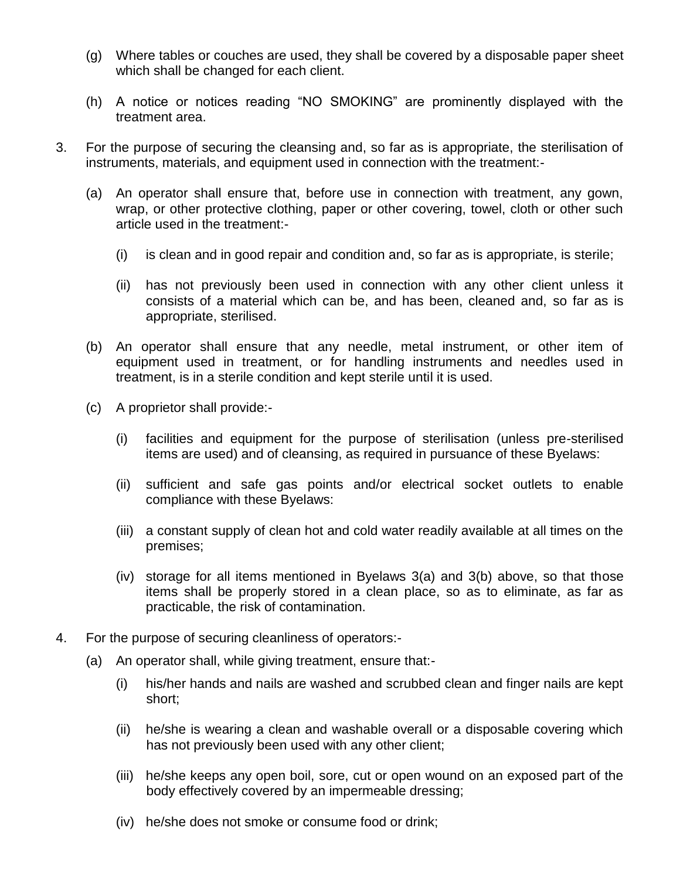- (g) Where tables or couches are used, they shall be covered by a disposable paper sheet which shall be changed for each client.
- (h) A notice or notices reading "NO SMOKING" are prominently displayed with the treatment area.
- 3. For the purpose of securing the cleansing and, so far as is appropriate, the sterilisation of instruments, materials, and equipment used in connection with the treatment:-
	- (a) An operator shall ensure that, before use in connection with treatment, any gown, wrap, or other protective clothing, paper or other covering, towel, cloth or other such article used in the treatment:-
		- (i) is clean and in good repair and condition and, so far as is appropriate, is sterile;
		- (ii) has not previously been used in connection with any other client unless it consists of a material which can be, and has been, cleaned and, so far as is appropriate, sterilised.
	- (b) An operator shall ensure that any needle, metal instrument, or other item of equipment used in treatment, or for handling instruments and needles used in treatment, is in a sterile condition and kept sterile until it is used.
	- (c) A proprietor shall provide:-
		- (i) facilities and equipment for the purpose of sterilisation (unless pre-sterilised items are used) and of cleansing, as required in pursuance of these Byelaws:
		- (ii) sufficient and safe gas points and/or electrical socket outlets to enable compliance with these Byelaws:
		- (iii) a constant supply of clean hot and cold water readily available at all times on the premises;
		- (iv) storage for all items mentioned in Byelaws 3(a) and 3(b) above, so that those items shall be properly stored in a clean place, so as to eliminate, as far as practicable, the risk of contamination.
- 4. For the purpose of securing cleanliness of operators:-
	- (a) An operator shall, while giving treatment, ensure that:-
		- (i) his/her hands and nails are washed and scrubbed clean and finger nails are kept short;
		- (ii) he/she is wearing a clean and washable overall or a disposable covering which has not previously been used with any other client;
		- (iii) he/she keeps any open boil, sore, cut or open wound on an exposed part of the body effectively covered by an impermeable dressing;
		- (iv) he/she does not smoke or consume food or drink;